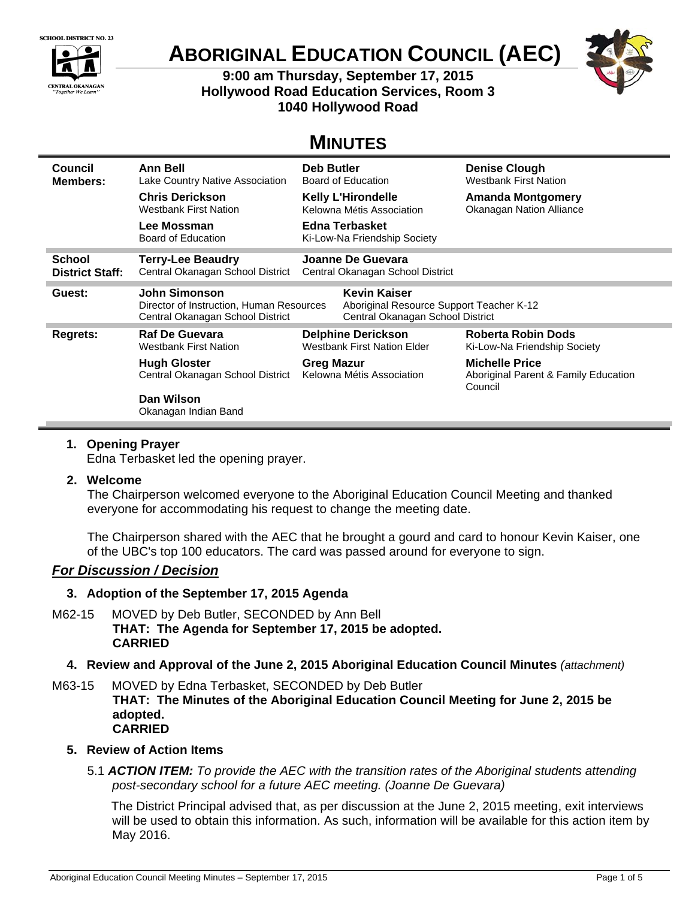

# **ABORIGINAL EDUCATION COUNCIL (AEC)**

**9:00 am Thursday, September 17, 2015 Hollywood Road Education Services, Room 3 1040 Hollywood Road** 



## **MINUTES**

| Council                | <b>Ann Bell</b>                                                                               | Deb Butler                                                                                          | <b>Denise Clough</b>                                                     |
|------------------------|-----------------------------------------------------------------------------------------------|-----------------------------------------------------------------------------------------------------|--------------------------------------------------------------------------|
| <b>Members:</b>        | Lake Country Native Association                                                               | Board of Education                                                                                  | <b>Westbank First Nation</b>                                             |
|                        | <b>Chris Derickson</b>                                                                        | <b>Kelly L'Hirondelle</b>                                                                           | <b>Amanda Montgomery</b>                                                 |
|                        | <b>Westbank First Nation</b>                                                                  | Kelowna Métis Association                                                                           | Okanagan Nation Alliance                                                 |
|                        | Lee Mossman<br>Board of Education                                                             | Edna Terbasket<br>Ki-Low-Na Friendship Society                                                      |                                                                          |
| <b>School</b>          | <b>Terry-Lee Beaudry</b>                                                                      | Joanne De Guevara                                                                                   |                                                                          |
| <b>District Staff:</b> | Central Okanagan School District                                                              | Central Okanagan School District                                                                    |                                                                          |
| Guest:                 | John Simonson<br>Director of Instruction, Human Resources<br>Central Okanagan School District | <b>Kevin Kaiser</b><br>Aboriginal Resource Support Teacher K-12<br>Central Okanagan School District |                                                                          |
| Regrets:               | <b>Raf De Guevara</b>                                                                         | <b>Delphine Derickson</b>                                                                           | <b>Roberta Robin Dods</b>                                                |
|                        | <b>Westbank First Nation</b>                                                                  | <b>Westbank First Nation Elder</b>                                                                  | Ki-Low-Na Friendship Society                                             |
|                        | <b>Hugh Gloster</b><br>Central Okanagan School District                                       | <b>Greg Mazur</b><br>Kelowna Métis Association                                                      | <b>Michelle Price</b><br>Aboriginal Parent & Family Education<br>Council |
|                        | Dan Wilson<br>Okanagan Indian Band                                                            |                                                                                                     |                                                                          |

#### **1. Opening Prayer**

Edna Terbasket led the opening prayer.

#### **2. Welcome**

The Chairperson welcomed everyone to the Aboriginal Education Council Meeting and thanked everyone for accommodating his request to change the meeting date.

The Chairperson shared with the AEC that he brought a gourd and card to honour Kevin Kaiser, one of the UBC's top 100 educators. The card was passed around for everyone to sign.

## *For Discussion / Decision*

## **3. Adoption of the September 17, 2015 Agenda**

- M62-15 MOVED by Deb Butler, SECONDED by Ann Bell **THAT: The Agenda for September 17, 2015 be adopted. CARRIED**
	- **4. Review and Approval of the June 2, 2015 Aboriginal Education Council Minutes** *(attachment)*

M63-15 MOVED by Edna Terbasket, SECONDED by Deb Butler **THAT: The Minutes of the Aboriginal Education Council Meeting for June 2, 2015 be adopted. CARRIED**

## **5. Review of Action Items**

5.1 *ACTION ITEM: To provide the AEC with the transition rates of the Aboriginal students attending post-secondary school for a future AEC meeting. (Joanne De Guevara)*

The District Principal advised that, as per discussion at the June 2, 2015 meeting, exit interviews will be used to obtain this information. As such, information will be available for this action item by May 2016.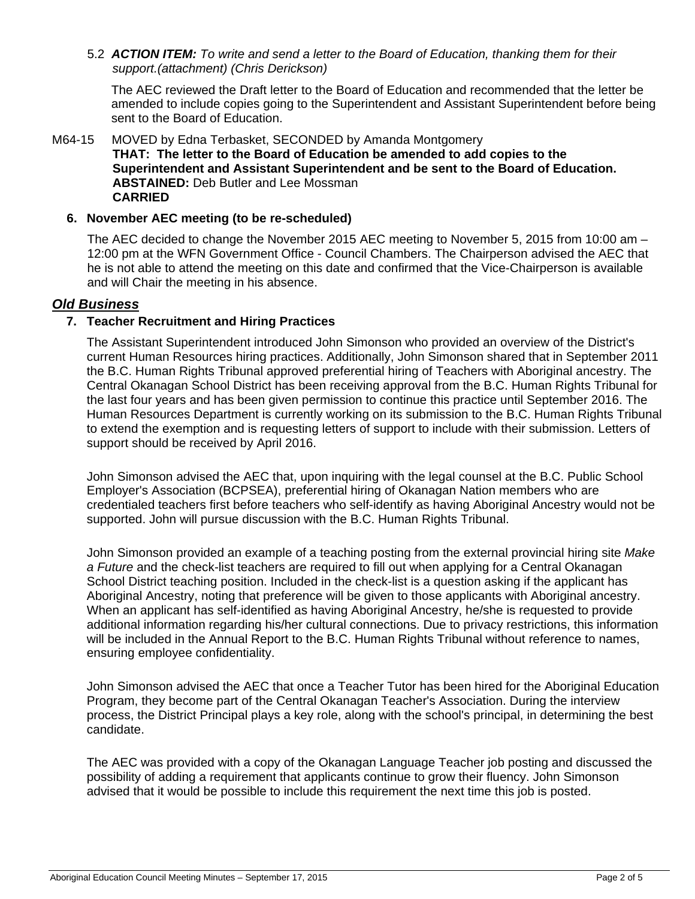5.2 *ACTION ITEM: To write and send a letter to the Board of Education, thanking them for their support.(attachment) (Chris Derickson)* 

The AEC reviewed the Draft letter to the Board of Education and recommended that the letter be amended to include copies going to the Superintendent and Assistant Superintendent before being sent to the Board of Education.

#### M64-15 MOVED by Edna Terbasket, SECONDED by Amanda Montgomery **THAT: The letter to the Board of Education be amended to add copies to the Superintendent and Assistant Superintendent and be sent to the Board of Education. ABSTAINED:** Deb Butler and Lee Mossman **CARRIED**

#### **6. November AEC meeting (to be re-scheduled)**

The AEC decided to change the November 2015 AEC meeting to November 5, 2015 from 10:00 am – 12:00 pm at the WFN Government Office - Council Chambers. The Chairperson advised the AEC that he is not able to attend the meeting on this date and confirmed that the Vice-Chairperson is available and will Chair the meeting in his absence.

#### *Old Business*

#### **7. Teacher Recruitment and Hiring Practices**

The Assistant Superintendent introduced John Simonson who provided an overview of the District's current Human Resources hiring practices. Additionally, John Simonson shared that in September 2011 the B.C. Human Rights Tribunal approved preferential hiring of Teachers with Aboriginal ancestry. The Central Okanagan School District has been receiving approval from the B.C. Human Rights Tribunal for the last four years and has been given permission to continue this practice until September 2016. The Human Resources Department is currently working on its submission to the B.C. Human Rights Tribunal to extend the exemption and is requesting letters of support to include with their submission. Letters of support should be received by April 2016.

John Simonson advised the AEC that, upon inquiring with the legal counsel at the B.C. Public School Employer's Association (BCPSEA), preferential hiring of Okanagan Nation members who are credentialed teachers first before teachers who self-identify as having Aboriginal Ancestry would not be supported. John will pursue discussion with the B.C. Human Rights Tribunal.

John Simonson provided an example of a teaching posting from the external provincial hiring site *Make a Future* and the check-list teachers are required to fill out when applying for a Central Okanagan School District teaching position. Included in the check-list is a question asking if the applicant has Aboriginal Ancestry, noting that preference will be given to those applicants with Aboriginal ancestry. When an applicant has self-identified as having Aboriginal Ancestry, he/she is requested to provide additional information regarding his/her cultural connections. Due to privacy restrictions, this information will be included in the Annual Report to the B.C. Human Rights Tribunal without reference to names, ensuring employee confidentiality.

John Simonson advised the AEC that once a Teacher Tutor has been hired for the Aboriginal Education Program, they become part of the Central Okanagan Teacher's Association. During the interview process, the District Principal plays a key role, along with the school's principal, in determining the best candidate.

The AEC was provided with a copy of the Okanagan Language Teacher job posting and discussed the possibility of adding a requirement that applicants continue to grow their fluency. John Simonson advised that it would be possible to include this requirement the next time this job is posted.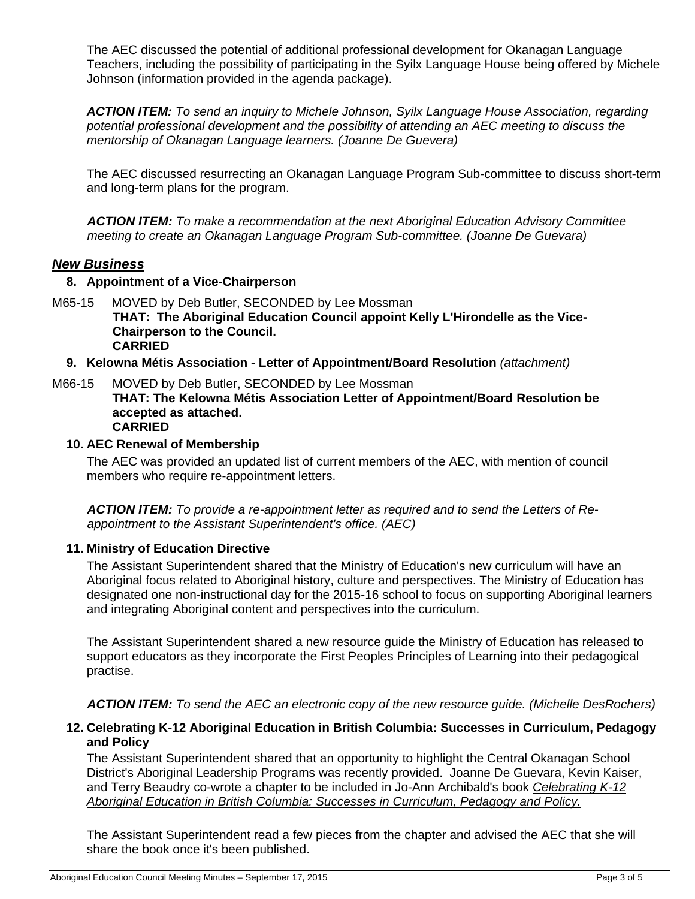The AEC discussed the potential of additional professional development for Okanagan Language Teachers, including the possibility of participating in the Syilx Language House being offered by Michele Johnson (information provided in the agenda package).

*ACTION ITEM: To send an inquiry to Michele Johnson, Syilx Language House Association, regarding potential professional development and the possibility of attending an AEC meeting to discuss the mentorship of Okanagan Language learners. (Joanne De Guevera)* 

The AEC discussed resurrecting an Okanagan Language Program Sub-committee to discuss short-term and long-term plans for the program.

*ACTION ITEM: To make a recommendation at the next Aboriginal Education Advisory Committee meeting to create an Okanagan Language Program Sub-committee. (Joanne De Guevara)* 

#### *New Business*

- **8. Appointment of a Vice-Chairperson**
- M65-15 MOVED by Deb Butler, SECONDED by Lee Mossman **THAT: The Aboriginal Education Council appoint Kelly L'Hirondelle as the Vice-Chairperson to the Council. CARRIED**
	- **9. Kelowna Métis Association Letter of Appointment/Board Resolution** *(attachment)*
- M66-15 MOVED by Deb Butler, SECONDED by Lee Mossman **THAT: The Kelowna Métis Association Letter of Appointment/Board Resolution be accepted as attached. CARRIED**

#### **10. AEC Renewal of Membership**

The AEC was provided an updated list of current members of the AEC, with mention of council members who require re-appointment letters.

*ACTION ITEM: To provide a re-appointment letter as required and to send the Letters of Reappointment to the Assistant Superintendent's office. (AEC)* 

#### **11. Ministry of Education Directive**

The Assistant Superintendent shared that the Ministry of Education's new curriculum will have an Aboriginal focus related to Aboriginal history, culture and perspectives. The Ministry of Education has designated one non-instructional day for the 2015-16 school to focus on supporting Aboriginal learners and integrating Aboriginal content and perspectives into the curriculum.

The Assistant Superintendent shared a new resource guide the Ministry of Education has released to support educators as they incorporate the First Peoples Principles of Learning into their pedagogical practise.

*ACTION ITEM: To send the AEC an electronic copy of the new resource guide. (Michelle DesRochers)* 

#### **12. Celebrating K-12 Aboriginal Education in British Columbia: Successes in Curriculum, Pedagogy and Policy**

The Assistant Superintendent shared that an opportunity to highlight the Central Okanagan School District's Aboriginal Leadership Programs was recently provided. Joanne De Guevara, Kevin Kaiser, and Terry Beaudry co-wrote a chapter to be included in Jo-Ann Archibald's book *Celebrating K-12 Aboriginal Education in British Columbia: Successes in Curriculum, Pedagogy and Policy.* 

The Assistant Superintendent read a few pieces from the chapter and advised the AEC that she will share the book once it's been published.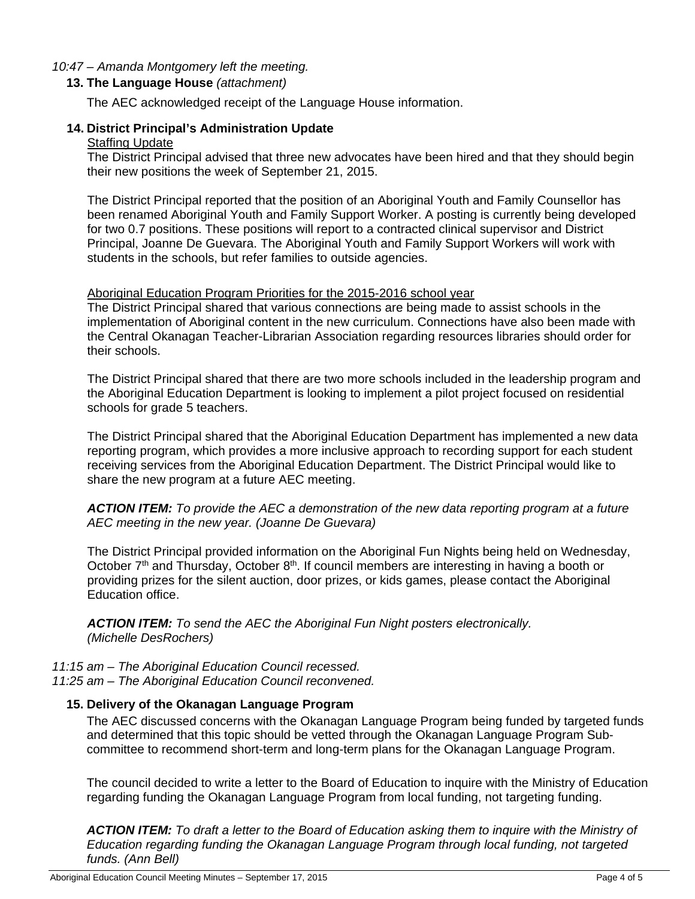#### *10:47 – Amanda Montgomery left the meeting.*

#### **13. The Language House** *(attachment)*

The AEC acknowledged receipt of the Language House information.

#### **14. District Principal's Administration Update**  Staffing Update

The District Principal advised that three new advocates have been hired and that they should begin their new positions the week of September 21, 2015.

The District Principal reported that the position of an Aboriginal Youth and Family Counsellor has been renamed Aboriginal Youth and Family Support Worker. A posting is currently being developed for two 0.7 positions. These positions will report to a contracted clinical supervisor and District Principal, Joanne De Guevara. The Aboriginal Youth and Family Support Workers will work with students in the schools, but refer families to outside agencies.

#### Aboriginal Education Program Priorities for the 2015-2016 school year

The District Principal shared that various connections are being made to assist schools in the implementation of Aboriginal content in the new curriculum. Connections have also been made with the Central Okanagan Teacher-Librarian Association regarding resources libraries should order for their schools.

The District Principal shared that there are two more schools included in the leadership program and the Aboriginal Education Department is looking to implement a pilot project focused on residential schools for grade 5 teachers.

The District Principal shared that the Aboriginal Education Department has implemented a new data reporting program, which provides a more inclusive approach to recording support for each student receiving services from the Aboriginal Education Department. The District Principal would like to share the new program at a future AEC meeting.

*ACTION ITEM: To provide the AEC a demonstration of the new data reporting program at a future AEC meeting in the new year. (Joanne De Guevara)* 

The District Principal provided information on the Aboriginal Fun Nights being held on Wednesday, October  $7<sup>th</sup>$  and Thursday, October  $8<sup>th</sup>$ . If council members are interesting in having a booth or providing prizes for the silent auction, door prizes, or kids games, please contact the Aboriginal Education office.

*ACTION ITEM: To send the AEC the Aboriginal Fun Night posters electronically. (Michelle DesRochers)* 

*11:15 am – The Aboriginal Education Council recessed. 11:25 am – The Aboriginal Education Council reconvened.* 

#### **15. Delivery of the Okanagan Language Program**

The AEC discussed concerns with the Okanagan Language Program being funded by targeted funds and determined that this topic should be vetted through the Okanagan Language Program Subcommittee to recommend short-term and long-term plans for the Okanagan Language Program.

The council decided to write a letter to the Board of Education to inquire with the Ministry of Education regarding funding the Okanagan Language Program from local funding, not targeting funding.

*ACTION ITEM: To draft a letter to the Board of Education asking them to inquire with the Ministry of Education regarding funding the Okanagan Language Program through local funding, not targeted funds. (Ann Bell)*